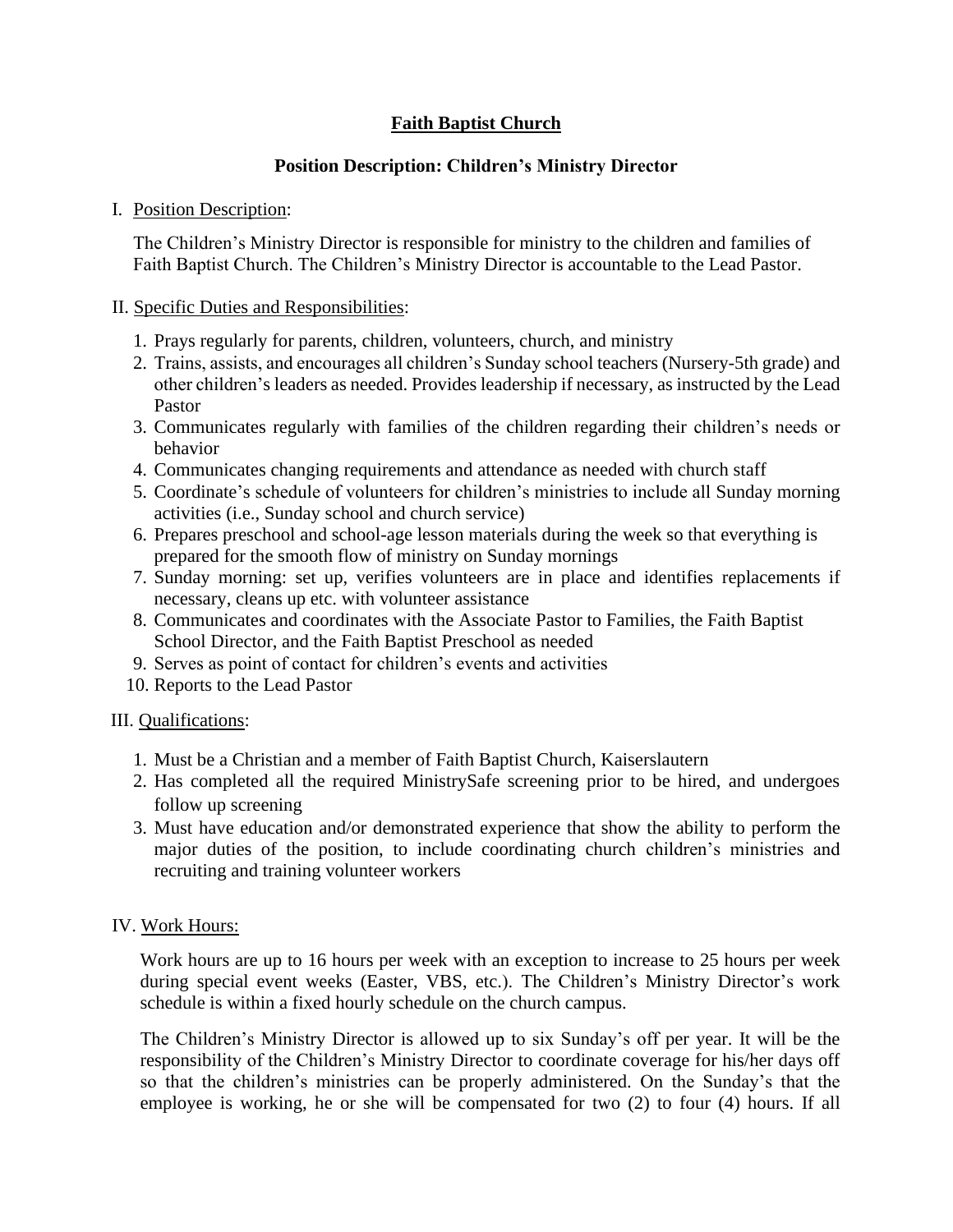# **Faith Baptist Church**

## **Position Description: Children's Ministry Director**

#### I. Position Description:

The Children's Ministry Director is responsible for ministry to the children and families of Faith Baptist Church. The Children's Ministry Director is accountable to the Lead Pastor.

#### II. Specific Duties and Responsibilities:

- 1. Prays regularly for parents, children, volunteers, church, and ministry
- 2. Trains, assists, and encourages all children's Sunday school teachers (Nursery-5th grade) and other children's leaders as needed. Provides leadership if necessary, as instructed by the Lead Pastor
- 3. Communicates regularly with families of the children regarding their children's needs or behavior
- 4. Communicates changing requirements and attendance as needed with church staff
- 5. Coordinate's schedule of volunteers for children's ministries to include all Sunday morning activities (i.e., Sunday school and church service)
- 6. Prepares preschool and school-age lesson materials during the week so that everything is prepared for the smooth flow of ministry on Sunday mornings
- 7. Sunday morning: set up, verifies volunteers are in place and identifies replacements if necessary, cleans up etc. with volunteer assistance
- 8. Communicates and coordinates with the Associate Pastor to Families, the Faith Baptist School Director, and the Faith Baptist Preschool as needed
- 9. Serves as point of contact for children's events and activities
- 10. Reports to the Lead Pastor

### III. Qualifications:

- 1. Must be a Christian and a member of Faith Baptist Church, Kaiserslautern
- 2. Has completed all the required MinistrySafe screening prior to be hired, and undergoes follow up screening
- 3. Must have education and/or demonstrated experience that show the ability to perform the major duties of the position, to include coordinating church children's ministries and recruiting and training volunteer workers

#### IV. Work Hours:

Work hours are up to 16 hours per week with an exception to increase to 25 hours per week during special event weeks (Easter, VBS, etc.). The Children's Ministry Director's work schedule is within a fixed hourly schedule on the church campus.

The Children's Ministry Director is allowed up to six Sunday's off per year. It will be the responsibility of the Children's Ministry Director to coordinate coverage for his/her days off so that the children's ministries can be properly administered. On the Sunday's that the employee is working, he or she will be compensated for two (2) to four (4) hours. If all